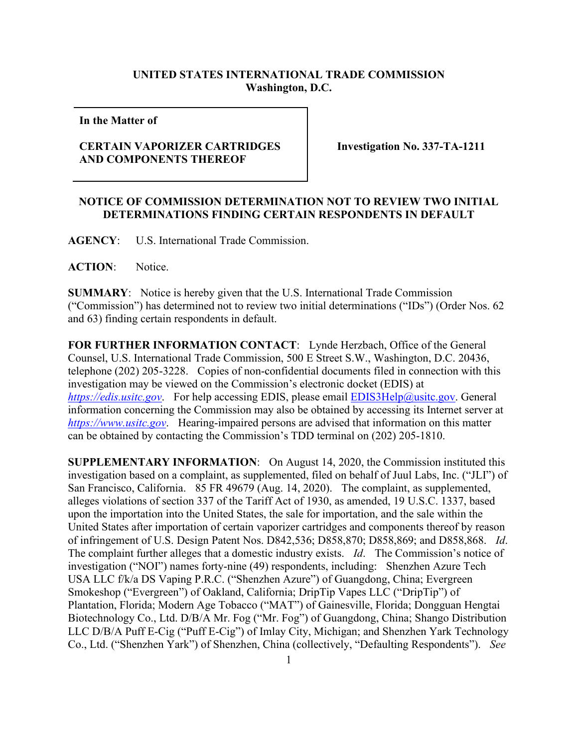## **UNITED STATES INTERNATIONAL TRADE COMMISSION Washington, D.C.**

**In the Matter of** 

## **CERTAIN VAPORIZER CARTRIDGES AND COMPONENTS THEREOF**

**Investigation No. 337-TA-1211**

## **NOTICE OF COMMISSION DETERMINATION NOT TO REVIEW TWO INITIAL DETERMINATIONS FINDING CERTAIN RESPONDENTS IN DEFAULT**

**AGENCY**: U.S. International Trade Commission.

**ACTION**: Notice.

**SUMMARY**: Notice is hereby given that the U.S. International Trade Commission ("Commission") has determined not to review two initial determinations ("IDs") (Order Nos. 62 and 63) finding certain respondents in default.

**FOR FURTHER INFORMATION CONTACT**: Lynde Herzbach, Office of the General Counsel, U.S. International Trade Commission, 500 E Street S.W., Washington, D.C. 20436, telephone (202) 205-3228. Copies of non-confidential documents filed in connection with this investigation may be viewed on the Commission's electronic docket (EDIS) at *[https://edis.usitc.gov](https://edis.usitc.gov/)*. For help accessing EDIS, please email [EDIS3Help@usitc.gov.](mailto:EDIS3Help@usitc.gov) General information concerning the Commission may also be obtained by accessing its Internet server at *[https://www.usitc.gov](https://www.usitc.gov/)*. Hearing-impaired persons are advised that information on this matter can be obtained by contacting the Commission's TDD terminal on (202) 205-1810.

**SUPPLEMENTARY INFORMATION**: On August 14, 2020, the Commission instituted this investigation based on a complaint, as supplemented, filed on behalf of Juul Labs, Inc. ("JLI") of San Francisco, California. 85 FR 49679 (Aug. 14, 2020). The complaint, as supplemented, alleges violations of section 337 of the Tariff Act of 1930, as amended, 19 U.S.C. 1337, based upon the importation into the United States, the sale for importation, and the sale within the United States after importation of certain vaporizer cartridges and components thereof by reason of infringement of U.S. Design Patent Nos. D842,536; D858,870; D858,869; and D858,868. *Id*. The complaint further alleges that a domestic industry exists. *Id*. The Commission's notice of investigation ("NOI") names forty-nine (49) respondents, including: Shenzhen Azure Tech USA LLC f/k/a DS Vaping P.R.C. ("Shenzhen Azure") of Guangdong, China; Evergreen Smokeshop ("Evergreen") of Oakland, California; DripTip Vapes LLC ("DripTip") of Plantation, Florida; Modern Age Tobacco ("MAT") of Gainesville, Florida; Dongguan Hengtai Biotechnology Co., Ltd. D/B/A Mr. Fog ("Mr. Fog") of Guangdong, China; Shango Distribution LLC D/B/A Puff E-Cig ("Puff E-Cig") of Imlay City, Michigan; and Shenzhen Yark Technology Co., Ltd. ("Shenzhen Yark") of Shenzhen, China (collectively, "Defaulting Respondents"). *See*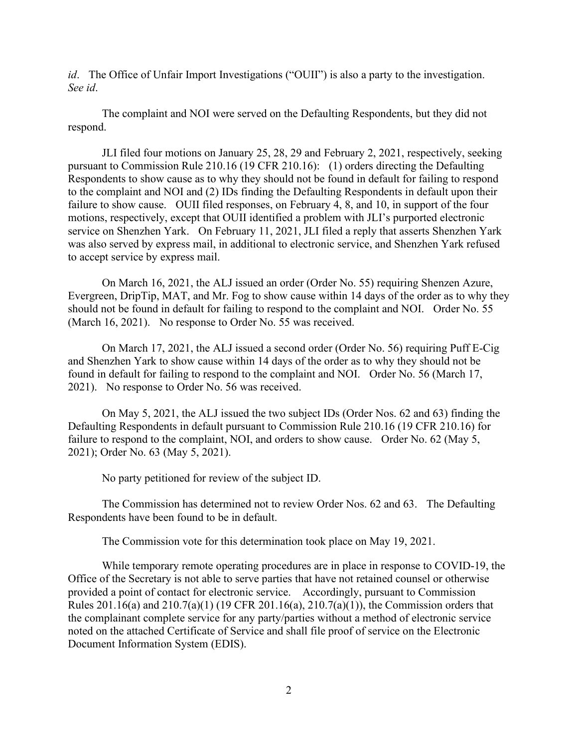*id*. The Office of Unfair Import Investigations ("OUII") is also a party to the investigation. *See id*.

The complaint and NOI were served on the Defaulting Respondents, but they did not respond.

JLI filed four motions on January 25, 28, 29 and February 2, 2021, respectively, seeking pursuant to Commission Rule 210.16 (19 CFR 210.16): (1) orders directing the Defaulting Respondents to show cause as to why they should not be found in default for failing to respond to the complaint and NOI and (2) IDs finding the Defaulting Respondents in default upon their failure to show cause. OUII filed responses, on February 4, 8, and 10, in support of the four motions, respectively, except that OUII identified a problem with JLI's purported electronic service on Shenzhen Yark. On February 11, 2021, JLI filed a reply that asserts Shenzhen Yark was also served by express mail, in additional to electronic service, and Shenzhen Yark refused to accept service by express mail.

On March 16, 2021, the ALJ issued an order (Order No. 55) requiring Shenzen Azure, Evergreen, DripTip, MAT, and Mr. Fog to show cause within 14 days of the order as to why they should not be found in default for failing to respond to the complaint and NOI. Order No. 55 (March 16, 2021). No response to Order No. 55 was received.

On March 17, 2021, the ALJ issued a second order (Order No. 56) requiring Puff E-Cig and Shenzhen Yark to show cause within 14 days of the order as to why they should not be found in default for failing to respond to the complaint and NOI. Order No. 56 (March 17, 2021). No response to Order No. 56 was received.

On May 5, 2021, the ALJ issued the two subject IDs (Order Nos. 62 and 63) finding the Defaulting Respondents in default pursuant to Commission Rule 210.16 (19 CFR 210.16) for failure to respond to the complaint, NOI, and orders to show cause. Order No. 62 (May 5, 2021); Order No. 63 (May 5, 2021).

No party petitioned for review of the subject ID.

The Commission has determined not to review Order Nos. 62 and 63. The Defaulting Respondents have been found to be in default.

The Commission vote for this determination took place on May 19, 2021.

While temporary remote operating procedures are in place in response to COVID-19, the Office of the Secretary is not able to serve parties that have not retained counsel or otherwise provided a point of contact for electronic service. Accordingly, pursuant to Commission Rules 201.16(a) and 210.7(a)(1) (19 CFR 201.16(a), 210.7(a)(1)), the Commission orders that the complainant complete service for any party/parties without a method of electronic service noted on the attached Certificate of Service and shall file proof of service on the Electronic Document Information System (EDIS).